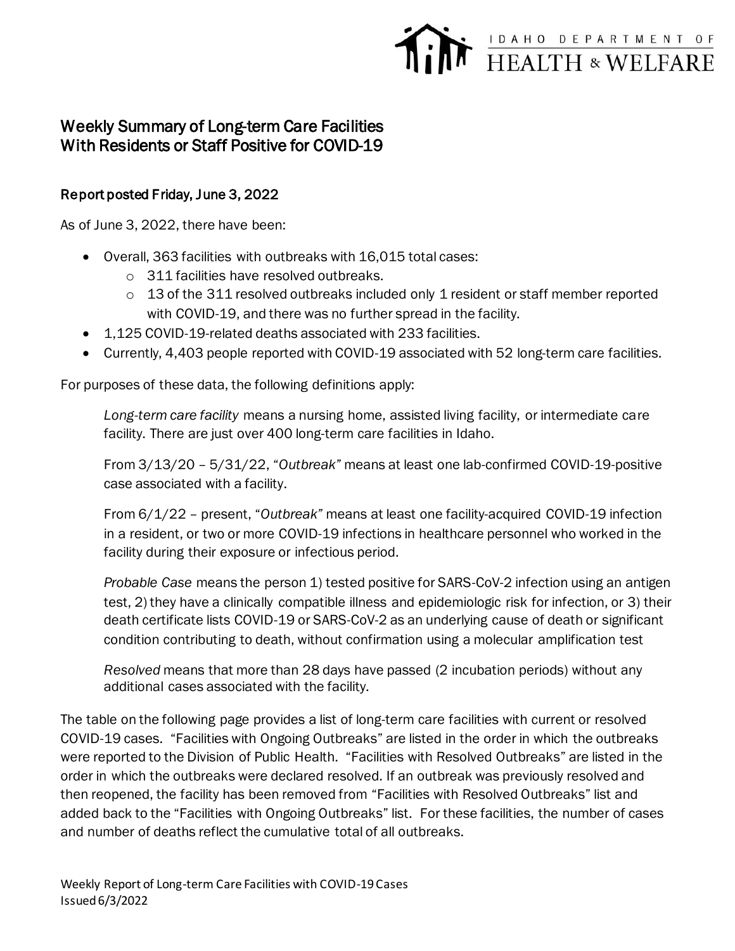## FEALTH & WELFARE

## Weekly Summary of Long-term Care Facilities With Residents or Staff Positive for COVID-19

## Report posted Friday, June 3, 2022

As of June 3, 2022, there have been:

- Overall, 363 facilities with outbreaks with 16,015 total cases:
	- o 311 facilities have resolved outbreaks.
	- $\circ$  13 of the 311 resolved outbreaks included only 1 resident or staff member reported with COVID-19, and there was no further spread in the facility.
- 1,125 COVID-19-related deaths associated with 233 facilities.
- Currently, 4,403 people reported with COVID-19 associated with 52 long-term care facilities.

For purposes of these data, the following definitions apply:

*Long-term care facility* means a nursing home, assisted living facility, or intermediate care facility. There are just over 400 long-term care facilities in Idaho.

From 3/13/20 – 5/31/22, "*Outbreak"* means at least one lab-confirmed COVID-19-positive case associated with a facility.

From 6/1/22 – present, "*Outbreak"* means at least one facility-acquired COVID-19 infection in a resident, or two or more COVID-19 infections in healthcare personnel who worked in the facility during their exposure or infectious period.

*Probable Case* means the person 1) tested positive for SARS-CoV-2 infection using an antigen test, 2) they have a clinically compatible illness and epidemiologic risk for infection, or 3) their death certificate lists COVID-19 or SARS-CoV-2 as an underlying cause of death or significant condition contributing to death, without confirmation using a molecular amplification test

*Resolved* means that more than 28 days have passed (2 incubation periods) without any additional cases associated with the facility.

The table on the following page provides a list of long-term care facilities with current or resolved COVID-19 cases. "Facilities with Ongoing Outbreaks" are listed in the order in which the outbreaks were reported to the Division of Public Health. "Facilities with Resolved Outbreaks" are listed in the order in which the outbreaks were declared resolved. If an outbreak was previously resolved and then reopened, the facility has been removed from "Facilities with Resolved Outbreaks" list and added back to the "Facilities with Ongoing Outbreaks" list. For these facilities, the number of cases and number of deaths reflect the cumulative total of all outbreaks.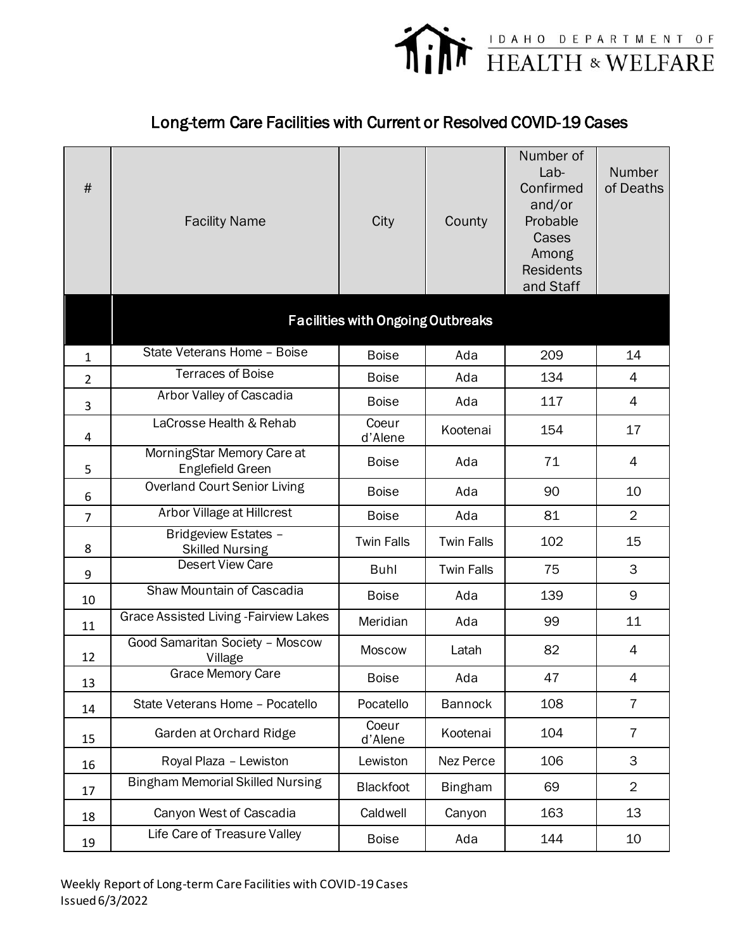

## Long-term Care Facilities with Current or Resolved COVID-19 Cases

| $\#$           | <b>Facility Name</b>                           | City                                     | County            | Number of<br>$Lab-$<br>Confirmed<br>and/or<br>Probable<br>Cases<br>Among<br><b>Residents</b><br>and Staff | Number<br>of Deaths |
|----------------|------------------------------------------------|------------------------------------------|-------------------|-----------------------------------------------------------------------------------------------------------|---------------------|
|                |                                                | <b>Facilities with Ongoing Outbreaks</b> |                   |                                                                                                           |                     |
| $\mathbf{1}$   | State Veterans Home - Boise                    | <b>Boise</b>                             | Ada               | 209                                                                                                       | 14                  |
| $\overline{2}$ | <b>Terraces of Boise</b>                       | <b>Boise</b>                             | Ada               | 134                                                                                                       | $\overline{4}$      |
| 3              | Arbor Valley of Cascadia                       | <b>Boise</b>                             | Ada               | 117                                                                                                       | $\overline{4}$      |
| 4              | LaCrosse Health & Rehab                        | Coeur<br>d'Alene                         | Kootenai          | 154                                                                                                       | 17                  |
| 5              | MorningStar Memory Care at<br>Englefield Green | <b>Boise</b>                             | Ada               | 71                                                                                                        | 4                   |
| 6              | <b>Overland Court Senior Living</b>            | <b>Boise</b>                             | Ada               | 90                                                                                                        | 10                  |
| $\overline{7}$ | Arbor Village at Hillcrest                     | <b>Boise</b>                             | Ada               | 81                                                                                                        | $\overline{2}$      |
| 8              | Bridgeview Estates -<br><b>Skilled Nursing</b> | <b>Twin Falls</b>                        | <b>Twin Falls</b> | 102                                                                                                       | 15                  |
| 9              | <b>Desert View Care</b>                        | Buhl                                     | <b>Twin Falls</b> | 75                                                                                                        | 3                   |
| 10             | Shaw Mountain of Cascadia                      | <b>Boise</b>                             | Ada               | 139                                                                                                       | 9                   |
| 11             | <b>Grace Assisted Living - Fairview Lakes</b>  | Meridian                                 | Ada               | 99                                                                                                        | 11                  |
| 12             | Good Samaritan Society - Moscow<br>Village     | <b>Moscow</b>                            | Latah             | 82                                                                                                        | 4                   |
| 13             | Grace Memory Care                              | <b>Boise</b>                             | Ada               | 47                                                                                                        | 4                   |
| 14             | State Veterans Home - Pocatello                | Pocatello                                | <b>Bannock</b>    | 108                                                                                                       | $\overline{7}$      |
| 15             | Garden at Orchard Ridge                        | Coeur<br>d'Alene                         | Kootenai          | 104                                                                                                       | $\overline{7}$      |
| 16             | Royal Plaza - Lewiston                         | Lewiston                                 | Nez Perce         | 106                                                                                                       | 3                   |
| 17             | <b>Bingham Memorial Skilled Nursing</b>        | <b>Blackfoot</b>                         | <b>Bingham</b>    | 69                                                                                                        | $\overline{2}$      |
| 18             | Canyon West of Cascadia                        | Caldwell                                 | Canyon            | 163                                                                                                       | 13                  |
| 19             | Life Care of Treasure Valley                   | <b>Boise</b>                             | Ada               | 144                                                                                                       | 10                  |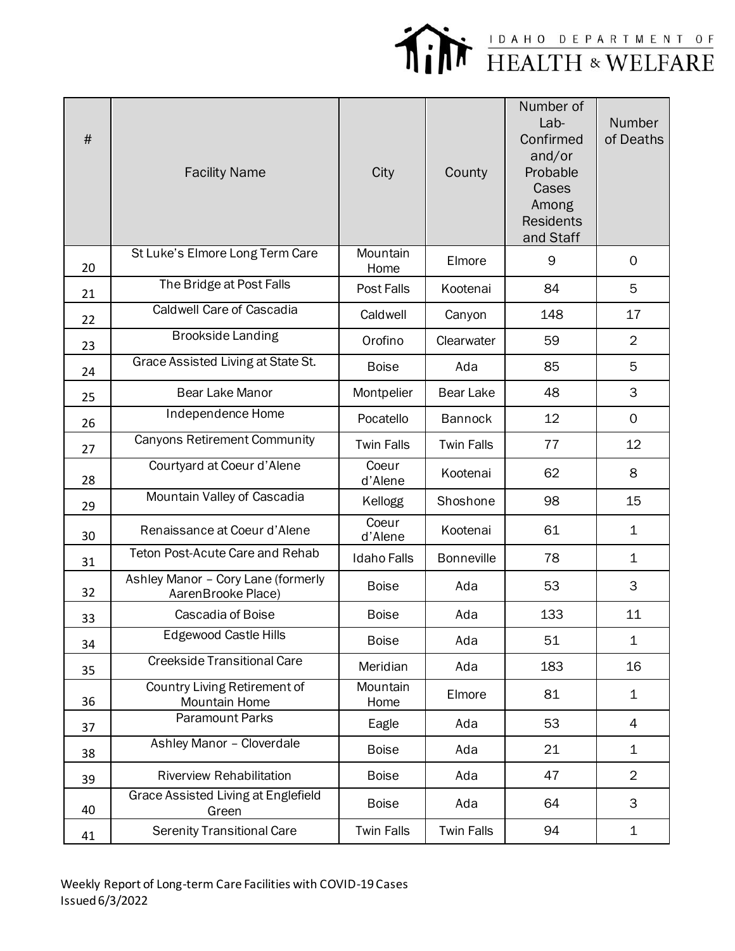

| $\#$ | <b>Facility Name</b>                                     | City               | County            | Number of<br>Lab-<br>Confirmed<br>and/or<br>Probable<br>Cases<br>Among<br><b>Residents</b><br>and Staff | Number<br>of Deaths |
|------|----------------------------------------------------------|--------------------|-------------------|---------------------------------------------------------------------------------------------------------|---------------------|
| 20   | St Luke's Elmore Long Term Care                          | Mountain<br>Home   | Elmore            | 9                                                                                                       | 0                   |
| 21   | The Bridge at Post Falls                                 | Post Falls         | Kootenai          | 84                                                                                                      | 5                   |
| 22   | <b>Caldwell Care of Cascadia</b>                         | Caldwell           | Canyon            | 148                                                                                                     | 17                  |
| 23   | <b>Brookside Landing</b>                                 | Orofino            | Clearwater        | 59                                                                                                      | $\overline{2}$      |
| 24   | Grace Assisted Living at State St.                       | <b>Boise</b>       | Ada               | 85                                                                                                      | 5                   |
| 25   | <b>Bear Lake Manor</b>                                   | Montpelier         | <b>Bear Lake</b>  | 48                                                                                                      | 3                   |
| 26   | Independence Home                                        | Pocatello          | <b>Bannock</b>    | 12                                                                                                      | $\mathbf 0$         |
| 27   | <b>Canyons Retirement Community</b>                      | <b>Twin Falls</b>  | <b>Twin Falls</b> | 77                                                                                                      | 12                  |
| 28   | Courtyard at Coeur d'Alene                               | Coeur<br>d'Alene   | Kootenai          | 62                                                                                                      | 8                   |
| 29   | Mountain Valley of Cascadia                              | Kellogg            | Shoshone          | 98                                                                                                      | 15                  |
| 30   | Renaissance at Coeur d'Alene                             | Coeur<br>d'Alene   | Kootenai          | 61                                                                                                      | 1                   |
| 31   | <b>Teton Post-Acute Care and Rehab</b>                   | <b>Idaho Falls</b> | <b>Bonneville</b> | 78                                                                                                      | 1                   |
| 32   | Ashley Manor - Cory Lane (formerly<br>AarenBrooke Place) | <b>Boise</b>       | Ada               | 53                                                                                                      | 3                   |
| 33   | Cascadia of Boise                                        | <b>Boise</b>       | Ada               | 133                                                                                                     | 11                  |
| 34   | Edgewood Castle Hills                                    | <b>Boise</b>       | Ada               | 51                                                                                                      | 1                   |
| 35   | <b>Creekside Transitional Care</b>                       | Meridian           | Ada               | 183                                                                                                     | 16                  |
| 36   | Country Living Retirement of<br>Mountain Home            | Mountain<br>Home   | Elmore            | 81                                                                                                      | 1                   |
| 37   | <b>Paramount Parks</b>                                   | Eagle              | Ada               | 53                                                                                                      | 4                   |
| 38   | Ashley Manor - Cloverdale                                | <b>Boise</b>       | Ada               | 21                                                                                                      | $\mathbf 1$         |
| 39   | <b>Riverview Rehabilitation</b>                          | <b>Boise</b>       | Ada               | 47                                                                                                      | $\overline{2}$      |
| 40   | Grace Assisted Living at Englefield<br>Green             | <b>Boise</b>       | Ada               | 64                                                                                                      | 3                   |
| 41   | <b>Serenity Transitional Care</b>                        | <b>Twin Falls</b>  | <b>Twin Falls</b> | 94                                                                                                      | 1                   |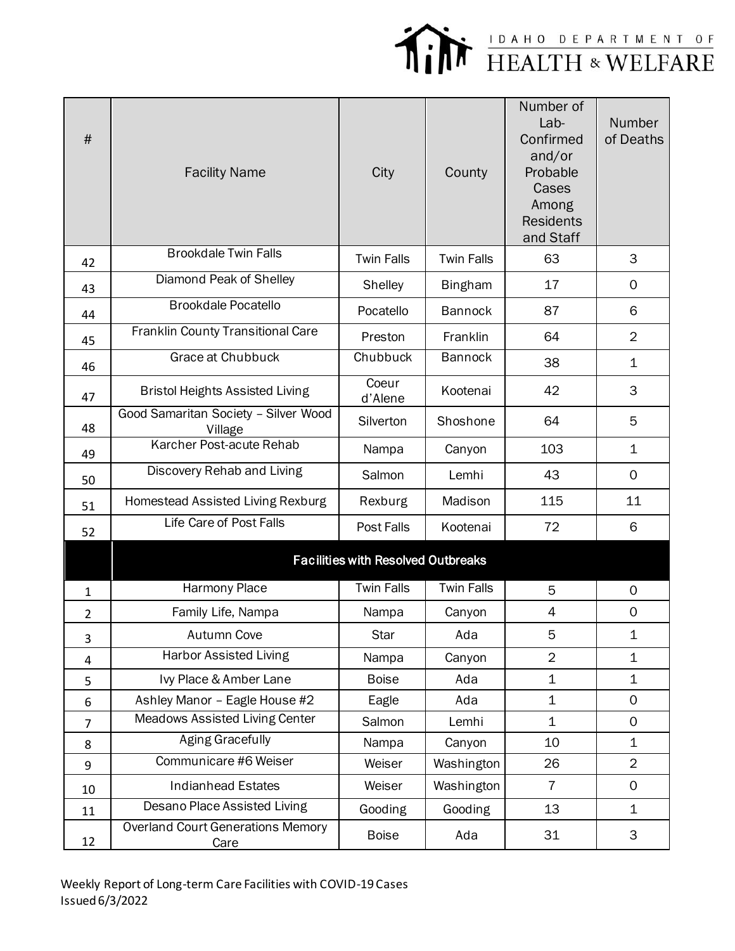

| #              | <b>Facility Name</b>                             | City                                      | County            | Number of<br>Lab-<br>Confirmed<br>and/or<br>Probable<br>Cases<br>Among<br><b>Residents</b><br>and Staff | Number<br>of Deaths |
|----------------|--------------------------------------------------|-------------------------------------------|-------------------|---------------------------------------------------------------------------------------------------------|---------------------|
| 42             | <b>Brookdale Twin Falls</b>                      | <b>Twin Falls</b>                         | <b>Twin Falls</b> | 63                                                                                                      | 3                   |
| 43             | Diamond Peak of Shelley                          | Shelley                                   | <b>Bingham</b>    | 17                                                                                                      | 0                   |
| 44             | <b>Brookdale Pocatello</b>                       | Pocatello                                 | <b>Bannock</b>    | 87                                                                                                      | 6                   |
| 45             | Franklin County Transitional Care                | Preston                                   | Franklin          | 64                                                                                                      | $\overline{2}$      |
| 46             | Grace at Chubbuck                                | Chubbuck                                  | <b>Bannock</b>    | 38                                                                                                      | $\mathbf 1$         |
| 47             | <b>Bristol Heights Assisted Living</b>           | Coeur<br>d'Alene                          | Kootenai          | 42                                                                                                      | 3                   |
| 48             | Good Samaritan Society - Silver Wood<br>Village  | Silverton                                 | Shoshone          | 64                                                                                                      | 5                   |
| 49             | Karcher Post-acute Rehab                         | Nampa                                     | Canyon            | 103                                                                                                     | $\mathbf 1$         |
| 50             | Discovery Rehab and Living                       | Salmon                                    | Lemhi             | 43                                                                                                      | $\Omega$            |
| 51             | Homestead Assisted Living Rexburg                | Rexburg                                   | Madison           | 115                                                                                                     | 11                  |
| 52             | Life Care of Post Falls                          | Post Falls                                | Kootenai          | 72                                                                                                      | 6                   |
|                |                                                  | <b>Facilities with Resolved Outbreaks</b> |                   |                                                                                                         |                     |
| 1              | Harmony Place                                    | <b>Twin Falls</b>                         | <b>Twin Falls</b> | 5                                                                                                       | 0                   |
| $\overline{2}$ | Family Life, Nampa                               | Nampa                                     | Canyon            | 4                                                                                                       | 0                   |
| 3              | <b>Autumn Cove</b>                               | <b>Star</b>                               | Ada               | 5                                                                                                       | $\mathbf 1$         |
| 4              | <b>Harbor Assisted Living</b>                    | Nampa                                     | Canyon            | $\overline{2}$                                                                                          | $\mathbf 1$         |
| 5              | Ivy Place & Amber Lane                           | <b>Boise</b>                              | Ada               | $\mathbf 1$                                                                                             | $\mathbf 1$         |
| 6              | Ashley Manor - Eagle House #2                    | Eagle                                     | Ada               | $\mathbf 1$                                                                                             | $\mathsf{O}$        |
| $\overline{7}$ | Meadows Assisted Living Center                   | Salmon                                    | Lemhi             | $\mathbf 1$                                                                                             | 0                   |
| 8              | <b>Aging Gracefully</b>                          | Nampa                                     | Canyon            | 10                                                                                                      | 1                   |
| 9              | Communicare #6 Weiser                            | Weiser                                    | Washington        | 26                                                                                                      | $\overline{2}$      |
| 10             | <b>Indianhead Estates</b>                        | Weiser                                    | Washington        | $\overline{7}$                                                                                          | $\mathbf 0$         |
| 11             | Desano Place Assisted Living                     | Gooding                                   | Gooding           | 13                                                                                                      | $\mathbf 1$         |
| 12             | <b>Overland Court Generations Memory</b><br>Care | <b>Boise</b>                              | Ada               | 31                                                                                                      | 3                   |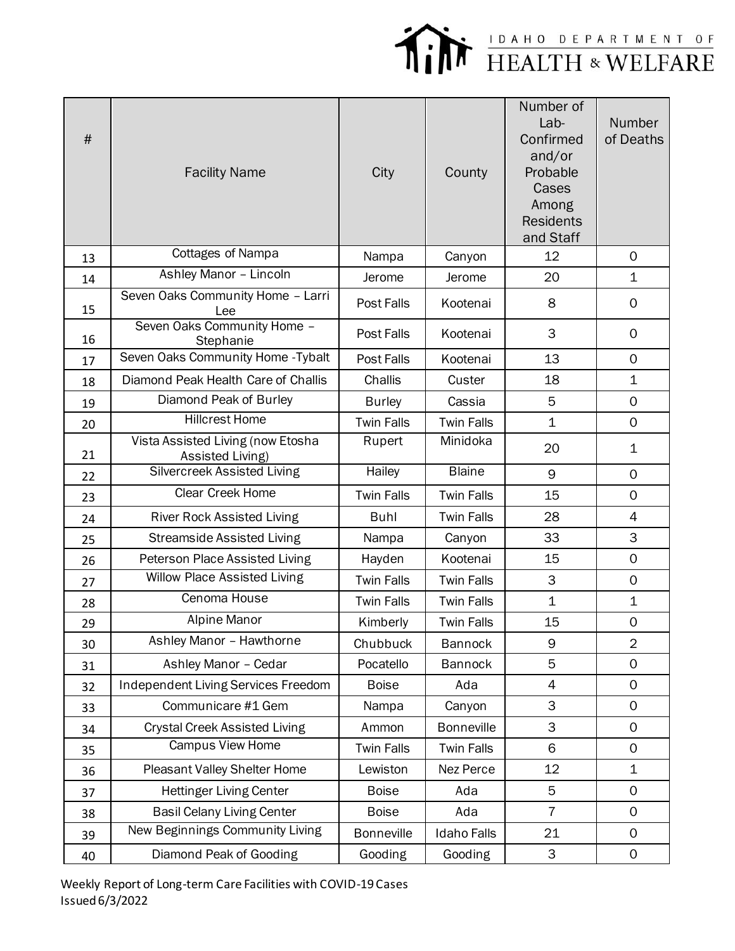

| #  | <b>Facility Name</b>                                  | City              | County             | Number of<br>Lab-<br>Confirmed<br>and/or<br>Probable<br>Cases<br>Among<br><b>Residents</b><br>and Staff | <b>Number</b><br>of Deaths |
|----|-------------------------------------------------------|-------------------|--------------------|---------------------------------------------------------------------------------------------------------|----------------------------|
| 13 | Cottages of Nampa                                     | Nampa             | Canyon             | 12                                                                                                      | $\Omega$                   |
| 14 | Ashley Manor - Lincoln                                | Jerome            | Jerome             | 20                                                                                                      | $\mathbf 1$                |
| 15 | Seven Oaks Community Home - Larri<br>Lee              | Post Falls        | Kootenai           | 8                                                                                                       | $\Omega$                   |
| 16 | Seven Oaks Community Home -<br>Stephanie              | Post Falls        | Kootenai           | 3                                                                                                       | $\mathbf 0$                |
| 17 | Seven Oaks Community Home - Tybalt                    | Post Falls        | Kootenai           | 13                                                                                                      | $\Omega$                   |
| 18 | Diamond Peak Health Care of Challis                   | Challis           | Custer             | 18                                                                                                      | $\mathbf 1$                |
| 19 | Diamond Peak of Burley                                | <b>Burley</b>     | Cassia             | 5                                                                                                       | $\mathbf 0$                |
| 20 | <b>Hillcrest Home</b>                                 | <b>Twin Falls</b> | <b>Twin Falls</b>  | $\mathbf{1}$                                                                                            | $\mathbf 0$                |
| 21 | Vista Assisted Living (now Etosha<br>Assisted Living) | Rupert            | Minidoka           | 20                                                                                                      | $\mathbf 1$                |
| 22 | Silvercreek Assisted Living                           | Hailey            | <b>Blaine</b>      | 9                                                                                                       | $\Omega$                   |
| 23 | Clear Creek Home                                      | <b>Twin Falls</b> | <b>Twin Falls</b>  | 15                                                                                                      | $\mathbf 0$                |
| 24 | <b>River Rock Assisted Living</b>                     | <b>Buhl</b>       | <b>Twin Falls</b>  | 28                                                                                                      | $\overline{4}$             |
| 25 | <b>Streamside Assisted Living</b>                     | Nampa             | Canyon             | 33                                                                                                      | 3                          |
| 26 | Peterson Place Assisted Living                        | Hayden            | Kootenai           | 15                                                                                                      | $\Omega$                   |
| 27 | <b>Willow Place Assisted Living</b>                   | <b>Twin Falls</b> | <b>Twin Falls</b>  | 3                                                                                                       | $\mathbf 0$                |
| 28 | Cenoma House                                          | <b>Twin Falls</b> | <b>Twin Falls</b>  | $\mathbf 1$                                                                                             | $\mathbf 1$                |
| 29 | <b>Alpine Manor</b>                                   | Kimberly          | <b>Twin Falls</b>  | 15                                                                                                      | $\mathsf{O}\xspace$        |
| 30 | Ashley Manor - Hawthorne                              | Chubbuck          | <b>Bannock</b>     | 9                                                                                                       | $\overline{2}$             |
| 31 | Ashley Manor - Cedar                                  | Pocatello         | <b>Bannock</b>     | 5                                                                                                       | $\mathbf 0$                |
| 32 | Independent Living Services Freedom                   | <b>Boise</b>      | Ada                | 4                                                                                                       | $\mathbf 0$                |
| 33 | Communicare #1 Gem                                    | Nampa             | Canyon             | 3                                                                                                       | $\mathbf 0$                |
| 34 | <b>Crystal Creek Assisted Living</b>                  | Ammon             | <b>Bonneville</b>  | 3                                                                                                       | 0                          |
| 35 | Campus View Home                                      | <b>Twin Falls</b> | <b>Twin Falls</b>  | 6                                                                                                       | $\mathbf 0$                |
| 36 | Pleasant Valley Shelter Home                          | Lewiston          | Nez Perce          | 12                                                                                                      | $\mathbf 1$                |
| 37 | <b>Hettinger Living Center</b>                        | <b>Boise</b>      | Ada                | 5                                                                                                       | $\mathsf{O}$               |
| 38 | <b>Basil Celany Living Center</b>                     | <b>Boise</b>      | Ada                | $\overline{7}$                                                                                          | $\mathbf 0$                |
| 39 | New Beginnings Community Living                       | <b>Bonneville</b> | <b>Idaho Falls</b> | 21                                                                                                      | $\mathbf 0$                |
| 40 | Diamond Peak of Gooding                               | Gooding           | Gooding            | 3                                                                                                       | $\mathsf{O}\xspace$        |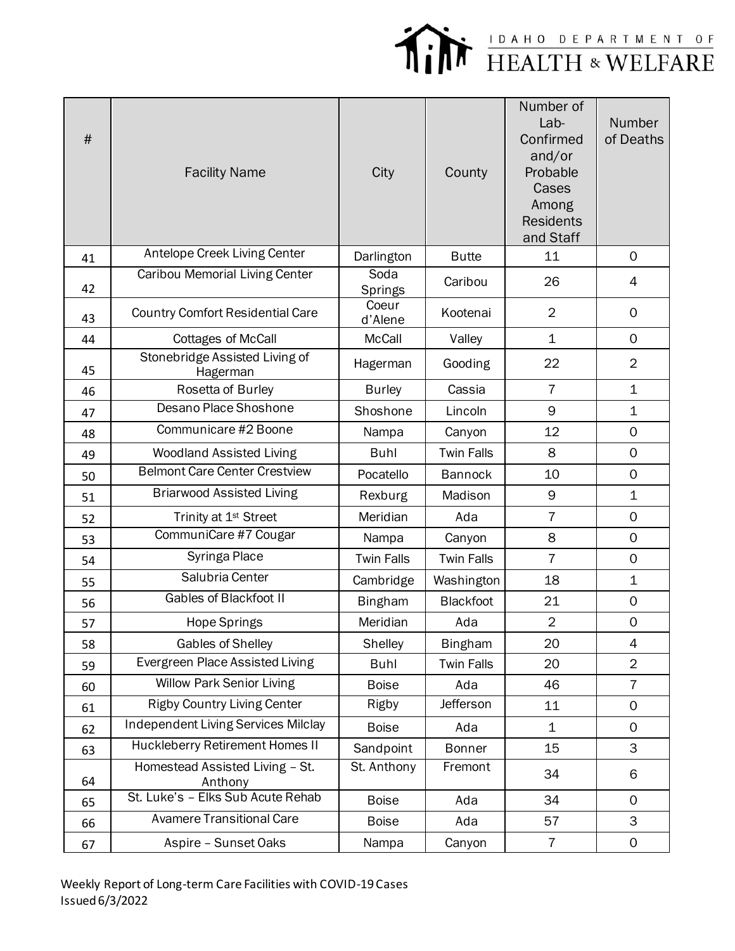

| $\#$ | <b>Facility Name</b>                       | City              | County            | Number of<br>Lab-<br>Confirmed<br>and/or<br>Probable<br>Cases<br>Among<br><b>Residents</b><br>and Staff | Number<br>of Deaths |
|------|--------------------------------------------|-------------------|-------------------|---------------------------------------------------------------------------------------------------------|---------------------|
| 41   | Antelope Creek Living Center               | Darlington        | <b>Butte</b>      | 11                                                                                                      | $\mathbf 0$         |
| 42   | Caribou Memorial Living Center             | Soda<br>Springs   | Caribou           | 26                                                                                                      | 4                   |
| 43   | <b>Country Comfort Residential Care</b>    | Coeur<br>d'Alene  | Kootenai          | $\overline{2}$                                                                                          | 0                   |
| 44   | <b>Cottages of McCall</b>                  | <b>McCall</b>     | Valley            | $\mathbf 1$                                                                                             | $\mathsf{O}$        |
| 45   | Stonebridge Assisted Living of<br>Hagerman | Hagerman          | Gooding           | 22                                                                                                      | $\overline{2}$      |
| 46   | Rosetta of Burley                          | <b>Burley</b>     | Cassia            | $\overline{7}$                                                                                          | $\mathbf 1$         |
| 47   | Desano Place Shoshone                      | Shoshone          | Lincoln           | 9                                                                                                       | $\mathbf 1$         |
| 48   | Communicare #2 Boone                       | Nampa             | Canyon            | 12                                                                                                      | $\mathsf{O}$        |
| 49   | <b>Woodland Assisted Living</b>            | <b>Buhl</b>       | <b>Twin Falls</b> | 8                                                                                                       | $\mathsf{O}$        |
| 50   | <b>Belmont Care Center Crestview</b>       | Pocatello         | <b>Bannock</b>    | 10                                                                                                      | $\mathsf{O}$        |
| 51   | <b>Briarwood Assisted Living</b>           | Rexburg           | Madison           | 9                                                                                                       | $\mathbf 1$         |
| 52   | Trinity at 1 <sup>st</sup> Street          | Meridian          | Ada               | $\overline{7}$                                                                                          | $\mathbf 0$         |
| 53   | CommuniCare #7 Cougar                      | Nampa             | Canyon            | 8                                                                                                       | $\mathbf 0$         |
| 54   | Syringa Place                              | <b>Twin Falls</b> | <b>Twin Falls</b> | $\overline{7}$                                                                                          | $\mathsf{O}$        |
| 55   | Salubria Center                            | Cambridge         | Washington        | 18                                                                                                      | 1                   |
| 56   | <b>Gables of Blackfoot II</b>              | <b>Bingham</b>    | <b>Blackfoot</b>  | 21                                                                                                      | $\mathsf{O}$        |
| 57   | <b>Hope Springs</b>                        | Meridian          | Ada               | $\overline{2}$                                                                                          | $\mathsf{O}\xspace$ |
| 58   | Gables of Shelley                          | Shelley           | <b>Bingham</b>    | 20                                                                                                      | 4                   |
| 59   | Evergreen Place Assisted Living            | <b>Buhl</b>       | <b>Twin Falls</b> | 20                                                                                                      | $\overline{2}$      |
| 60   | <b>Willow Park Senior Living</b>           | <b>Boise</b>      | Ada               | 46                                                                                                      | $\overline{7}$      |
| 61   | <b>Rigby Country Living Center</b>         | Rigby             | Jefferson         | 11                                                                                                      | 0                   |
| 62   | <b>Independent Living Services Milclay</b> | <b>Boise</b>      | Ada               | $\mathbf{1}$                                                                                            | $\mathsf{O}$        |
| 63   | Huckleberry Retirement Homes II            | Sandpoint         | <b>Bonner</b>     | 15                                                                                                      | 3                   |
| 64   | Homestead Assisted Living - St.<br>Anthony | St. Anthony       | Fremont           | 34                                                                                                      | 6                   |
| 65   | St. Luke's - Elks Sub Acute Rehab          | <b>Boise</b>      | Ada               | 34                                                                                                      | $\mathsf{O}$        |
| 66   | <b>Avamere Transitional Care</b>           | <b>Boise</b>      | Ada               | 57                                                                                                      | 3                   |
| 67   | Aspire - Sunset Oaks                       | Nampa             | Canyon            | $\overline{I}$                                                                                          | 0                   |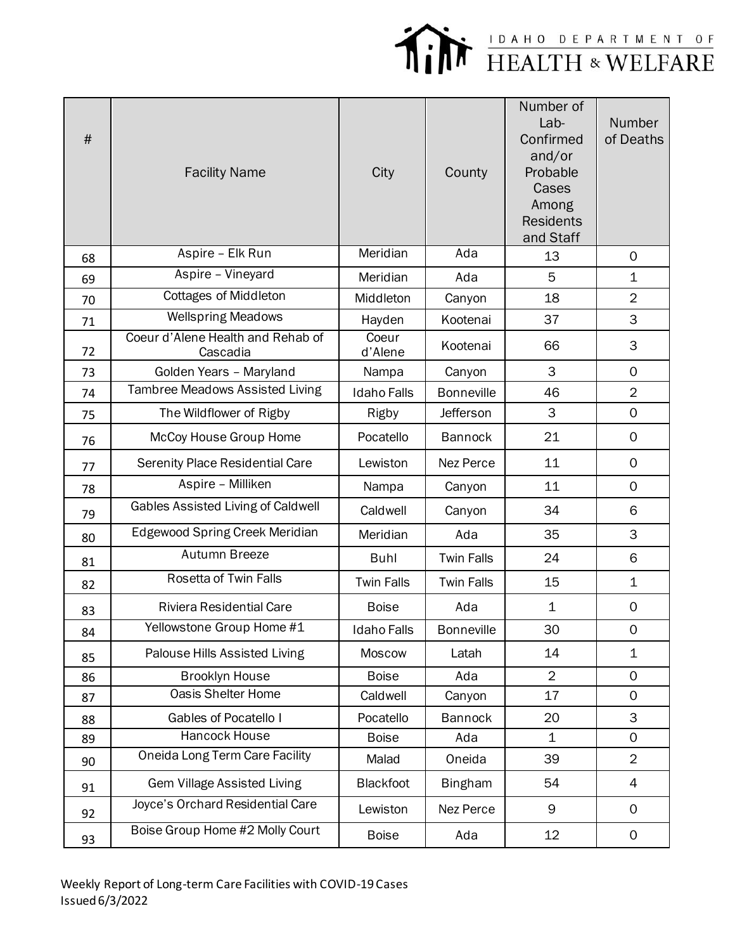

| $\#$ | <b>Facility Name</b>                          | City               | County            | Number of<br>$Lab-$<br>Confirmed<br>and/or<br>Probable<br>Cases<br>Among<br><b>Residents</b><br>and Staff | Number<br>of Deaths |
|------|-----------------------------------------------|--------------------|-------------------|-----------------------------------------------------------------------------------------------------------|---------------------|
| 68   | Aspire - Elk Run                              | Meridian           | Ada               | 13                                                                                                        | $\mathbf 0$         |
| 69   | Aspire - Vineyard                             | Meridian           | Ada               | 5                                                                                                         | $\mathbf 1$         |
| 70   | <b>Cottages of Middleton</b>                  | Middleton          | Canyon            | 18                                                                                                        | $\overline{2}$      |
| 71   | <b>Wellspring Meadows</b>                     | Hayden             | Kootenai          | 37                                                                                                        | 3                   |
| 72   | Coeur d'Alene Health and Rehab of<br>Cascadia | Coeur<br>d'Alene   | Kootenai          | 66                                                                                                        | 3                   |
| 73   | Golden Years - Maryland                       | Nampa              | Canyon            | 3                                                                                                         | $\mathbf 0$         |
| 74   | <b>Tambree Meadows Assisted Living</b>        | <b>Idaho Falls</b> | <b>Bonneville</b> | 46                                                                                                        | $\overline{2}$      |
| 75   | The Wildflower of Rigby                       | Rigby              | Jefferson         | 3                                                                                                         | $\mathsf{O}$        |
| 76   | McCoy House Group Home                        | Pocatello          | <b>Bannock</b>    | 21                                                                                                        | 0                   |
| 77   | Serenity Place Residential Care               | Lewiston           | Nez Perce         | 11                                                                                                        | $\mathsf{O}$        |
| 78   | Aspire - Milliken                             | Nampa              | Canyon            | 11                                                                                                        | $\mathsf{O}$        |
| 79   | Gables Assisted Living of Caldwell            | Caldwell           | Canyon            | 34                                                                                                        | 6                   |
| 80   | Edgewood Spring Creek Meridian                | Meridian           | Ada               | 35                                                                                                        | 3                   |
| 81   | Autumn Breeze                                 | <b>Buhl</b>        | <b>Twin Falls</b> | 24                                                                                                        | 6                   |
| 82   | Rosetta of Twin Falls                         | <b>Twin Falls</b>  | <b>Twin Falls</b> | 15                                                                                                        | $\mathbf 1$         |
| 83   | <b>Riviera Residential Care</b>               | <b>Boise</b>       | Ada               | $\mathbf 1$                                                                                               | 0                   |
| 84   | Yellowstone Group Home #1                     | <b>Idaho Falls</b> | <b>Bonneville</b> | 30                                                                                                        | $\mathsf O$         |
| 85   | Palouse Hills Assisted Living                 | Moscow             | Latah             | 14                                                                                                        | $\mathbf 1$         |
| 86   | <b>Brooklyn House</b>                         | <b>Boise</b>       | Ada               | $\overline{2}$                                                                                            | 0                   |
| 87   | <b>Oasis Shelter Home</b>                     | Caldwell           | Canyon            | 17                                                                                                        | $\mathsf{O}$        |
| 88   | <b>Gables of Pocatello I</b>                  | Pocatello          | <b>Bannock</b>    | 20                                                                                                        | 3                   |
| 89   | Hancock House                                 | <b>Boise</b>       | Ada               | $\mathbf 1$                                                                                               | $\mathsf{O}$        |
| 90   | Oneida Long Term Care Facility                | Malad              | Oneida            | 39                                                                                                        | $\overline{2}$      |
| 91   | <b>Gem Village Assisted Living</b>            | Blackfoot          | <b>Bingham</b>    | 54                                                                                                        | 4                   |
| 92   | Joyce's Orchard Residential Care              | Lewiston           | Nez Perce         | 9                                                                                                         | 0                   |
| 93   | Boise Group Home #2 Molly Court               | <b>Boise</b>       | Ada               | 12                                                                                                        | 0                   |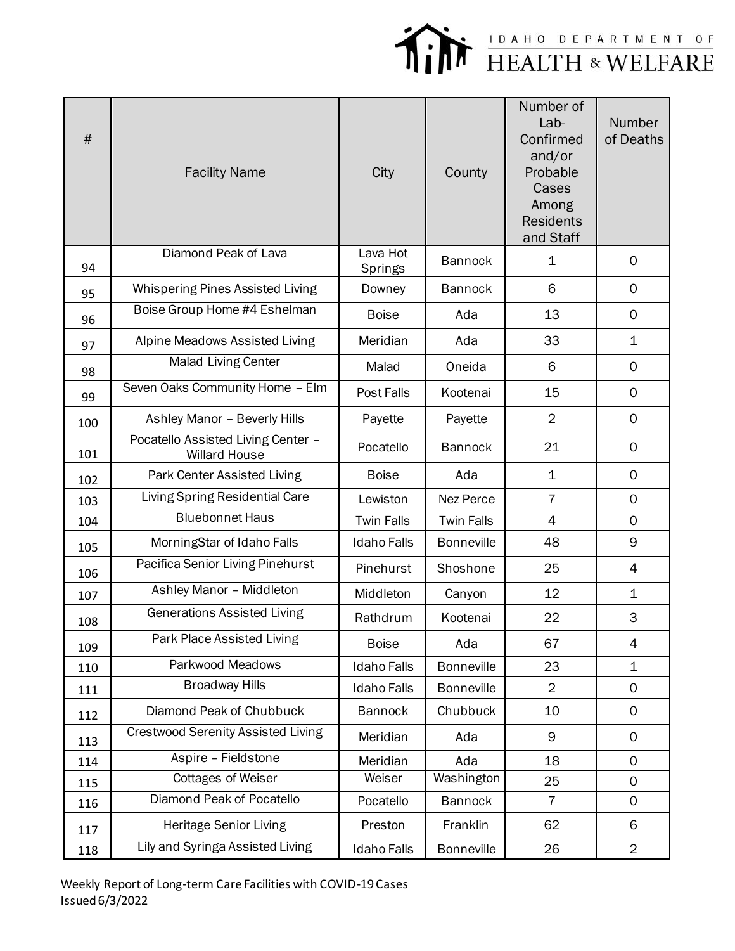

| #   | <b>Facility Name</b>                                       | City                       | County            | Number of<br>Lab-<br>Confirmed<br>and/or<br>Probable<br>Cases<br>Among<br><b>Residents</b><br>and Staff | Number<br>of Deaths |
|-----|------------------------------------------------------------|----------------------------|-------------------|---------------------------------------------------------------------------------------------------------|---------------------|
| 94  | Diamond Peak of Lava                                       | Lava Hot<br><b>Springs</b> | <b>Bannock</b>    | 1                                                                                                       | 0                   |
| 95  | Whispering Pines Assisted Living                           | Downey                     | <b>Bannock</b>    | 6                                                                                                       | $\mathsf{O}$        |
| 96  | Boise Group Home #4 Eshelman                               | <b>Boise</b>               | Ada               | 13                                                                                                      | 0                   |
| 97  | Alpine Meadows Assisted Living                             | Meridian                   | Ada               | 33                                                                                                      | $\mathbf 1$         |
| 98  | <b>Malad Living Center</b>                                 | Malad                      | Oneida            | 6                                                                                                       | $\mathsf{O}$        |
| 99  | Seven Oaks Community Home - Elm                            | Post Falls                 | Kootenai          | 15                                                                                                      | $\mathsf{O}$        |
| 100 | Ashley Manor - Beverly Hills                               | Payette                    | Payette           | $\overline{2}$                                                                                          | $\Omega$            |
| 101 | Pocatello Assisted Living Center -<br><b>Willard House</b> | Pocatello                  | <b>Bannock</b>    | 21                                                                                                      | $\mathsf{O}$        |
| 102 | Park Center Assisted Living                                | <b>Boise</b>               | Ada               | $\mathbf 1$                                                                                             | $\mathsf{O}$        |
| 103 | Living Spring Residential Care                             | Lewiston                   | Nez Perce         | $\overline{7}$                                                                                          | $\mathsf{O}$        |
| 104 | <b>Bluebonnet Haus</b>                                     | <b>Twin Falls</b>          | <b>Twin Falls</b> | $\overline{4}$                                                                                          | $\mathsf{O}$        |
| 105 | MorningStar of Idaho Falls                                 | <b>Idaho Falls</b>         | <b>Bonneville</b> | 48                                                                                                      | 9                   |
| 106 | Pacifica Senior Living Pinehurst                           | Pinehurst                  | Shoshone          | 25                                                                                                      | 4                   |
| 107 | Ashley Manor - Middleton                                   | Middleton                  | Canyon            | 12                                                                                                      | 1                   |
| 108 | <b>Generations Assisted Living</b>                         | Rathdrum                   | Kootenai          | 22                                                                                                      | 3                   |
| 109 | Park Place Assisted Living                                 | <b>Boise</b>               | Ada               | 67                                                                                                      | 4                   |
| 110 | Parkwood Meadows                                           | <b>Idaho Falls</b>         | <b>Bonneville</b> | 23                                                                                                      | $\mathbf 1$         |
| 111 | <b>Broadway Hills</b>                                      | <b>Idaho Falls</b>         | <b>Bonneville</b> | $\overline{2}$                                                                                          | $\mathsf{O}$        |
| 112 | Diamond Peak of Chubbuck                                   | <b>Bannock</b>             | Chubbuck          | 10                                                                                                      | 0                   |
| 113 | <b>Crestwood Serenity Assisted Living</b>                  | Meridian                   | Ada               | 9                                                                                                       | $\mathbf{O}$        |
| 114 | Aspire - Fieldstone                                        | Meridian                   | Ada               | 18                                                                                                      | $\mathsf{O}$        |
| 115 | <b>Cottages of Weiser</b>                                  | Weiser                     | Washington        | 25                                                                                                      | $\mathsf{O}$        |
| 116 | Diamond Peak of Pocatello                                  | Pocatello                  | <b>Bannock</b>    | $\overline{7}$                                                                                          | 0                   |
| 117 | <b>Heritage Senior Living</b>                              | Preston                    | Franklin          | 62                                                                                                      | 6                   |
| 118 | Lily and Syringa Assisted Living                           | <b>Idaho Falls</b>         | <b>Bonneville</b> | 26                                                                                                      | $\overline{2}$      |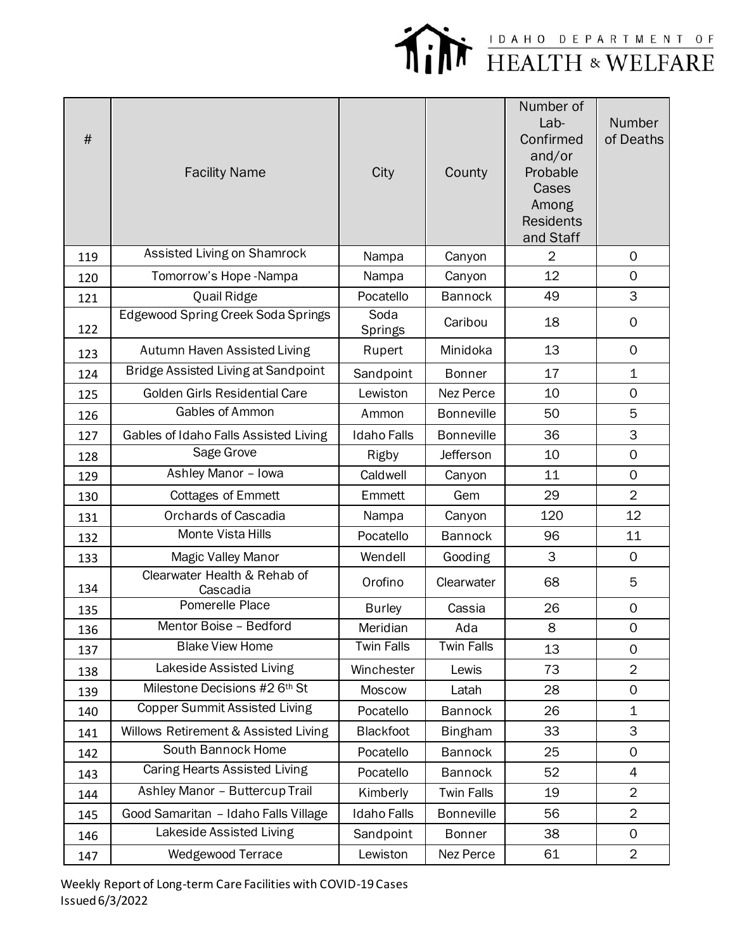

| $\#$ | <b>Facility Name</b>                     | City               | County            | Number of<br>$Lab-$<br>Confirmed<br>and/or<br>Probable<br>Cases<br>Among<br><b>Residents</b><br>and Staff | Number<br>of Deaths |
|------|------------------------------------------|--------------------|-------------------|-----------------------------------------------------------------------------------------------------------|---------------------|
| 119  | Assisted Living on Shamrock              | Nampa              | Canyon            | $\overline{2}$                                                                                            | $\mathbf 0$         |
| 120  | Tomorrow's Hope-Nampa                    | Nampa              | Canyon            | 12                                                                                                        | $\mathbf 0$         |
| 121  | Quail Ridge                              | Pocatello          | <b>Bannock</b>    | 49                                                                                                        | 3                   |
| 122  | Edgewood Spring Creek Soda Springs       | Soda<br>Springs    | Caribou           | 18                                                                                                        | $\mathsf{O}$        |
| 123  | Autumn Haven Assisted Living             | Rupert             | Minidoka          | 13                                                                                                        | $\mathsf{O}\xspace$ |
| 124  | Bridge Assisted Living at Sandpoint      | Sandpoint          | <b>Bonner</b>     | 17                                                                                                        | $\mathbf 1$         |
| 125  | Golden Girls Residential Care            | Lewiston           | Nez Perce         | 10                                                                                                        | $\mathsf{O}$        |
| 126  | Gables of Ammon                          | Ammon              | <b>Bonneville</b> | 50                                                                                                        | 5                   |
| 127  | Gables of Idaho Falls Assisted Living    | <b>Idaho Falls</b> | <b>Bonneville</b> | 36                                                                                                        | 3                   |
| 128  | Sage Grove                               | Rigby              | Jefferson         | 10                                                                                                        | $\mathsf{O}$        |
| 129  | Ashley Manor - Iowa                      | Caldwell           | Canyon            | 11                                                                                                        | $\mathbf 0$         |
| 130  | <b>Cottages of Emmett</b>                | Emmett             | Gem               | 29                                                                                                        | $\overline{2}$      |
| 131  | <b>Orchards of Cascadia</b>              | Nampa              | Canyon            | 120                                                                                                       | 12                  |
| 132  | Monte Vista Hills                        | Pocatello          | <b>Bannock</b>    | 96                                                                                                        | 11                  |
| 133  | Magic Valley Manor                       | Wendell            | Gooding           | 3                                                                                                         | $\mathsf{O}$        |
| 134  | Clearwater Health & Rehab of<br>Cascadia | Orofino            | Clearwater        | 68                                                                                                        | 5                   |
| 135  | Pomerelle Place                          | <b>Burley</b>      | Cassia            | 26                                                                                                        | $\mathsf{O}\xspace$ |
| 136  | Mentor Boise - Bedford                   | Meridian           | Ada               | 8                                                                                                         | $\Omega$            |
| 137  | <b>Blake View Home</b>                   | <b>Twin Falls</b>  | <b>Twin Falls</b> | 13                                                                                                        | 0                   |
| 138  | Lakeside Assisted Living                 | Winchester         | Lewis             | 73                                                                                                        | $\overline{2}$      |
| 139  | Milestone Decisions #2 6th St            | Moscow             | Latah             | 28                                                                                                        | $\mathsf{O}$        |
| 140  | <b>Copper Summit Assisted Living</b>     | Pocatello          | <b>Bannock</b>    | 26                                                                                                        | 1                   |
| 141  | Willows Retirement & Assisted Living     | Blackfoot          | <b>Bingham</b>    | 33                                                                                                        | 3                   |
| 142  | South Bannock Home                       | Pocatello          | <b>Bannock</b>    | 25                                                                                                        | $\mathsf{O}$        |
| 143  | Caring Hearts Assisted Living            | Pocatello          | <b>Bannock</b>    | 52                                                                                                        | 4                   |
| 144  | Ashley Manor - Buttercup Trail           | Kimberly           | <b>Twin Falls</b> | 19                                                                                                        | $\overline{2}$      |
| 145  | Good Samaritan - Idaho Falls Village     | <b>Idaho Falls</b> | <b>Bonneville</b> | 56                                                                                                        | $\overline{2}$      |
| 146  | Lakeside Assisted Living                 | Sandpoint          | <b>Bonner</b>     | 38                                                                                                        | 0                   |
| 147  | Wedgewood Terrace                        | Lewiston           | Nez Perce         | 61                                                                                                        | $\overline{2}$      |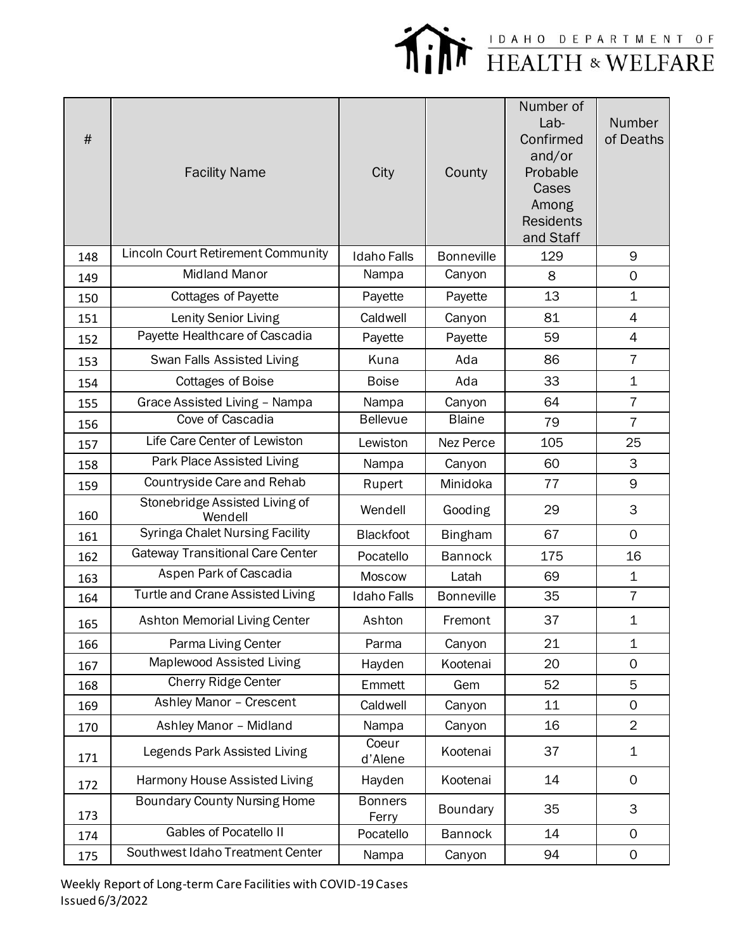

| $\#$ | <b>Facility Name</b>                      | City                    | County            | Number of<br>Lab-<br>Confirmed<br>and/or<br>Probable<br>Cases<br>Among<br><b>Residents</b><br>and Staff | Number<br>of Deaths |
|------|-------------------------------------------|-------------------------|-------------------|---------------------------------------------------------------------------------------------------------|---------------------|
| 148  | <b>Lincoln Court Retirement Community</b> | <b>Idaho Falls</b>      | <b>Bonneville</b> | 129                                                                                                     | 9                   |
| 149  | <b>Midland Manor</b>                      | Nampa                   | Canyon            | 8                                                                                                       | $\mathsf{O}$        |
| 150  | <b>Cottages of Payette</b>                | Payette                 | Payette           | 13                                                                                                      | 1                   |
| 151  | Lenity Senior Living                      | Caldwell                | Canyon            | 81                                                                                                      | $\overline{4}$      |
| 152  | Payette Healthcare of Cascadia            | Payette                 | Payette           | 59                                                                                                      | $\overline{4}$      |
| 153  | Swan Falls Assisted Living                | Kuna                    | Ada               | 86                                                                                                      | $\overline{7}$      |
| 154  | <b>Cottages of Boise</b>                  | <b>Boise</b>            | Ada               | 33                                                                                                      | $\mathbf 1$         |
| 155  | Grace Assisted Living - Nampa             | Nampa                   | Canyon            | 64                                                                                                      | $\overline{7}$      |
| 156  | Cove of Cascadia                          | <b>Bellevue</b>         | <b>Blaine</b>     | 79                                                                                                      | $\overline{7}$      |
| 157  | Life Care Center of Lewiston              | Lewiston                | Nez Perce         | 105                                                                                                     | 25                  |
| 158  | Park Place Assisted Living                | Nampa                   | Canyon            | 60                                                                                                      | 3                   |
| 159  | Countryside Care and Rehab                | Rupert                  | Minidoka          | 77                                                                                                      | 9                   |
| 160  | Stonebridge Assisted Living of<br>Wendell | Wendell                 | Gooding           | 29                                                                                                      | 3                   |
| 161  | <b>Syringa Chalet Nursing Facility</b>    | <b>Blackfoot</b>        | <b>Bingham</b>    | 67                                                                                                      | $\mathbf{O}$        |
| 162  | <b>Gateway Transitional Care Center</b>   | Pocatello               | <b>Bannock</b>    | 175                                                                                                     | 16                  |
| 163  | Aspen Park of Cascadia                    | <b>Moscow</b>           | Latah             | 69                                                                                                      | $\mathbf 1$         |
| 164  | <b>Turtle and Crane Assisted Living</b>   | <b>Idaho Falls</b>      | <b>Bonneville</b> | 35                                                                                                      | $\overline{7}$      |
| 165  | Ashton Memorial Living Center             | Ashton                  | Fremont           | 37                                                                                                      | $\mathbf 1$         |
| 166  | Parma Living Center                       | Parma                   | Canyon            | 21                                                                                                      | $\mathbf 1$         |
| 167  | Maplewood Assisted Living                 | Hayden                  | Kootenai          | 20                                                                                                      | 0                   |
| 168  | <b>Cherry Ridge Center</b>                | Emmett                  | Gem               | 52                                                                                                      | 5                   |
| 169  | Ashley Manor - Crescent                   | Caldwell                | Canyon            | 11                                                                                                      | 0                   |
| 170  | Ashley Manor - Midland                    | Nampa                   | Canyon            | 16                                                                                                      | $\overline{2}$      |
| 171  | Legends Park Assisted Living              | Coeur<br>d'Alene        | Kootenai          | 37                                                                                                      | $\mathbf 1$         |
| 172  | Harmony House Assisted Living             | Hayden                  | Kootenai          | 14                                                                                                      | $\mathsf{O}$        |
| 173  | <b>Boundary County Nursing Home</b>       | <b>Bonners</b><br>Ferry | Boundary          | 35                                                                                                      | 3                   |
| 174  | <b>Gables of Pocatello II</b>             | Pocatello               | <b>Bannock</b>    | 14                                                                                                      | $\mathsf{O}$        |
| 175  | Southwest Idaho Treatment Center          | Nampa                   | Canyon            | 94                                                                                                      | 0                   |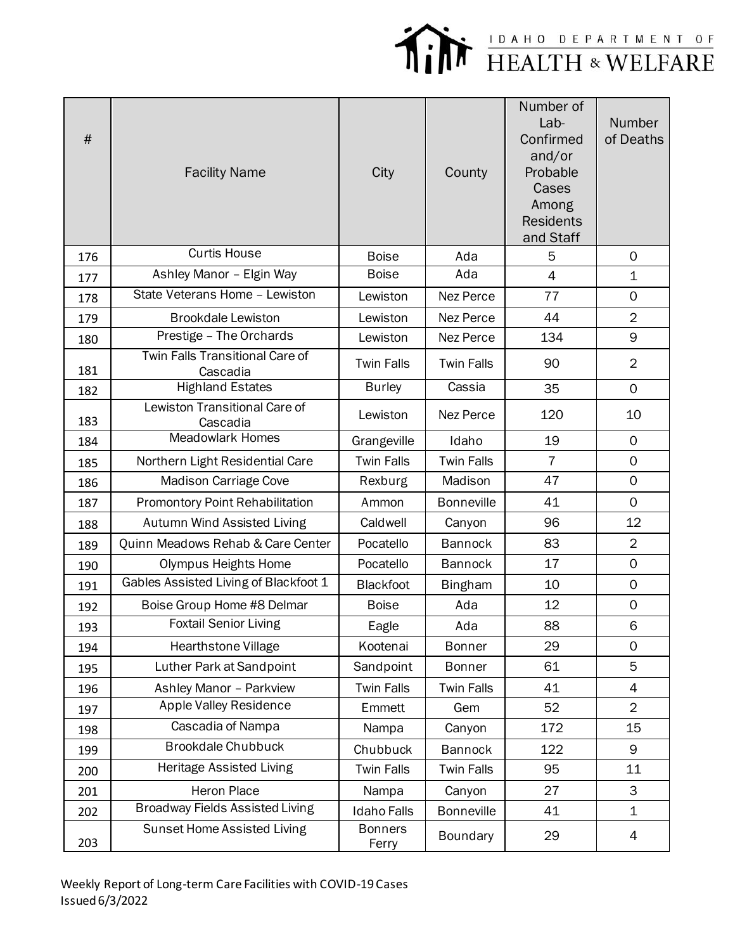

| $\#$ | <b>Facility Name</b>                        | City                    | County            | Number of<br>Lab-<br>Confirmed<br>and/or<br>Probable<br>Cases<br>Among<br><b>Residents</b><br>and Staff | Number<br>of Deaths |
|------|---------------------------------------------|-------------------------|-------------------|---------------------------------------------------------------------------------------------------------|---------------------|
| 176  | <b>Curtis House</b>                         | <b>Boise</b>            | Ada               | 5                                                                                                       | $\mathbf 0$         |
| 177  | Ashley Manor - Elgin Way                    | <b>Boise</b>            | Ada               | $\overline{4}$                                                                                          | $\mathbf 1$         |
| 178  | State Veterans Home - Lewiston              | Lewiston                | Nez Perce         | 77                                                                                                      | 0                   |
| 179  | <b>Brookdale Lewiston</b>                   | Lewiston                | Nez Perce         | 44                                                                                                      | $\overline{2}$      |
| 180  | Prestige - The Orchards                     | Lewiston                | Nez Perce         | 134                                                                                                     | 9                   |
| 181  | Twin Falls Transitional Care of<br>Cascadia | <b>Twin Falls</b>       | <b>Twin Falls</b> | 90                                                                                                      | $\overline{2}$      |
| 182  | <b>Highland Estates</b>                     | <b>Burley</b>           | Cassia            | 35                                                                                                      | $\mathbf 0$         |
| 183  | Lewiston Transitional Care of<br>Cascadia   | Lewiston                | Nez Perce         | 120                                                                                                     | 10                  |
| 184  | <b>Meadowlark Homes</b>                     | Grangeville             | Idaho             | 19                                                                                                      | $\mathsf{O}$        |
| 185  | Northern Light Residential Care             | <b>Twin Falls</b>       | <b>Twin Falls</b> | $\overline{7}$                                                                                          | $\mathbf 0$         |
| 186  | Madison Carriage Cove                       | Rexburg                 | Madison           | 47                                                                                                      | $\mathbf 0$         |
| 187  | Promontory Point Rehabilitation             | Ammon                   | <b>Bonneville</b> | 41                                                                                                      | $\mathbf{O}$        |
| 188  | Autumn Wind Assisted Living                 | Caldwell                | Canyon            | 96                                                                                                      | 12                  |
| 189  | Quinn Meadows Rehab & Care Center           | Pocatello               | <b>Bannock</b>    | 83                                                                                                      | $\overline{2}$      |
| 190  | Olympus Heights Home                        | Pocatello               | <b>Bannock</b>    | 17                                                                                                      | $\mathbf 0$         |
| 191  | Gables Assisted Living of Blackfoot 1       | <b>Blackfoot</b>        | <b>Bingham</b>    | 10                                                                                                      | $\mathbf 0$         |
| 192  | Boise Group Home #8 Delmar                  | <b>Boise</b>            | Ada               | 12                                                                                                      | $\mathsf{O}\xspace$ |
| 193  | <b>Foxtail Senior Living</b>                | Eagle                   | Ada               | 88                                                                                                      | 6                   |
| 194  | Hearthstone Village                         | Kootenai                | <b>Bonner</b>     | 29                                                                                                      | $\mathsf{O}$        |
| 195  | Luther Park at Sandpoint                    | Sandpoint               | <b>Bonner</b>     | 61                                                                                                      | 5                   |
| 196  | Ashley Manor - Parkview                     | <b>Twin Falls</b>       | <b>Twin Falls</b> | 41                                                                                                      | 4                   |
| 197  | Apple Valley Residence                      | Emmett                  | Gem               | 52                                                                                                      | $\overline{2}$      |
| 198  | Cascadia of Nampa                           | Nampa                   | Canyon            | 172                                                                                                     | 15                  |
| 199  | <b>Brookdale Chubbuck</b>                   | Chubbuck                | <b>Bannock</b>    | 122                                                                                                     | 9                   |
| 200  | Heritage Assisted Living                    | <b>Twin Falls</b>       | <b>Twin Falls</b> | 95                                                                                                      | 11                  |
| 201  | Heron Place                                 | Nampa                   | Canyon            | 27                                                                                                      | 3                   |
| 202  | <b>Broadway Fields Assisted Living</b>      | <b>Idaho Falls</b>      | <b>Bonneville</b> | 41                                                                                                      | $\mathbf 1$         |
| 203  | Sunset Home Assisted Living                 | <b>Bonners</b><br>Ferry | Boundary          | 29                                                                                                      | 4                   |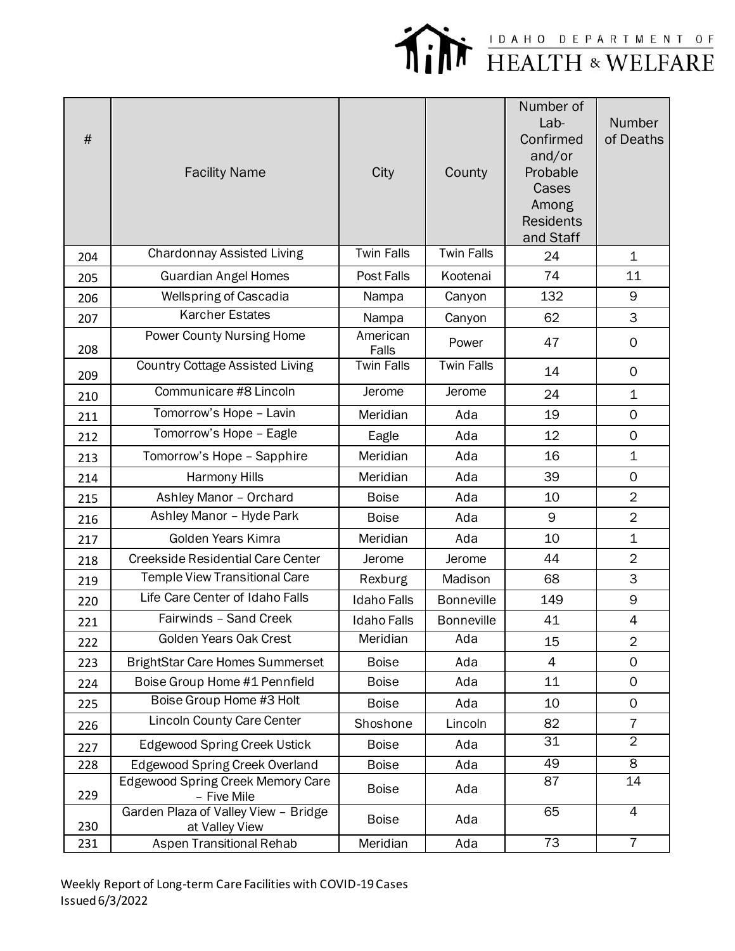

| $\#$ | <b>Facility Name</b>                                   | City               | County            | Number of<br>Lab-<br>Confirmed<br>and/or<br>Probable<br>Cases<br>Among<br><b>Residents</b><br>and Staff | Number<br>of Deaths |
|------|--------------------------------------------------------|--------------------|-------------------|---------------------------------------------------------------------------------------------------------|---------------------|
| 204  | <b>Chardonnay Assisted Living</b>                      | <b>Twin Falls</b>  | <b>Twin Falls</b> | 24                                                                                                      | $\mathbf 1$         |
| 205  | <b>Guardian Angel Homes</b>                            | Post Falls         | Kootenai          | 74                                                                                                      | 11                  |
| 206  | <b>Wellspring of Cascadia</b>                          | Nampa              | Canyon            | 132                                                                                                     | 9                   |
| 207  | <b>Karcher Estates</b>                                 | Nampa              | Canyon            | 62                                                                                                      | 3                   |
| 208  | <b>Power County Nursing Home</b>                       | American<br>Falls  | Power             | 47                                                                                                      | $\mathbf 0$         |
| 209  | <b>Country Cottage Assisted Living</b>                 | <b>Twin Falls</b>  | <b>Twin Falls</b> | 14                                                                                                      | $\mathbf 0$         |
| 210  | Communicare #8 Lincoln                                 | Jerome             | Jerome            | 24                                                                                                      | 1                   |
| 211  | Tomorrow's Hope - Lavin                                | Meridian           | Ada               | 19                                                                                                      | $\mathbf{O}$        |
| 212  | Tomorrow's Hope - Eagle                                | Eagle              | Ada               | 12                                                                                                      | $\mathbf 0$         |
| 213  | Tomorrow's Hope - Sapphire                             | Meridian           | Ada               | 16                                                                                                      | $\mathbf 1$         |
| 214  | Harmony Hills                                          | Meridian           | Ada               | 39                                                                                                      | $\mathsf{O}$        |
| 215  | Ashley Manor - Orchard                                 | <b>Boise</b>       | Ada               | 10                                                                                                      | $\overline{2}$      |
| 216  | Ashley Manor - Hyde Park                               | <b>Boise</b>       | Ada               | 9                                                                                                       | $\overline{2}$      |
| 217  | Golden Years Kimra                                     | Meridian           | Ada               | 10                                                                                                      | $\mathbf 1$         |
| 218  | <b>Creekside Residential Care Center</b>               | Jerome             | Jerome            | 44                                                                                                      | $\overline{2}$      |
| 219  | Temple View Transitional Care                          | Rexburg            | Madison           | 68                                                                                                      | 3                   |
| 220  | Life Care Center of Idaho Falls                        | <b>Idaho Falls</b> | <b>Bonneville</b> | 149                                                                                                     | 9                   |
| 221  | Fairwinds - Sand Creek                                 | <b>Idaho Falls</b> | <b>Bonneville</b> | 41                                                                                                      | $\overline{4}$      |
| 222  | Golden Years Oak Crest                                 | Meridian           | Ada               | 15                                                                                                      | $\overline{2}$      |
| 223  | <b>BrightStar Care Homes Summerset</b>                 | <b>Boise</b>       | Ada               | 4                                                                                                       | $\mathsf{O}$        |
| 224  | Boise Group Home #1 Pennfield                          | <b>Boise</b>       | Ada               | 11                                                                                                      | $\mathsf{O}$        |
| 225  | Boise Group Home #3 Holt                               | <b>Boise</b>       | Ada               | 10                                                                                                      | $\mathbf 0$         |
| 226  | <b>Lincoln County Care Center</b>                      | Shoshone           | Lincoln           | 82                                                                                                      | $\overline{7}$      |
| 227  | <b>Edgewood Spring Creek Ustick</b>                    | <b>Boise</b>       | Ada               | 31                                                                                                      | $\overline{2}$      |
| 228  | <b>Edgewood Spring Creek Overland</b>                  | <b>Boise</b>       | Ada               | 49                                                                                                      | 8                   |
| 229  | Edgewood Spring Creek Memory Care<br>- Five Mile       | <b>Boise</b>       | Ada               | 87                                                                                                      | 14                  |
| 230  | Garden Plaza of Valley View - Bridge<br>at Valley View | <b>Boise</b>       | Ada               | 65                                                                                                      | $\overline{4}$      |
| 231  | Aspen Transitional Rehab                               | Meridian           | Ada               | $\overline{73}$                                                                                         | $\overline{7}$      |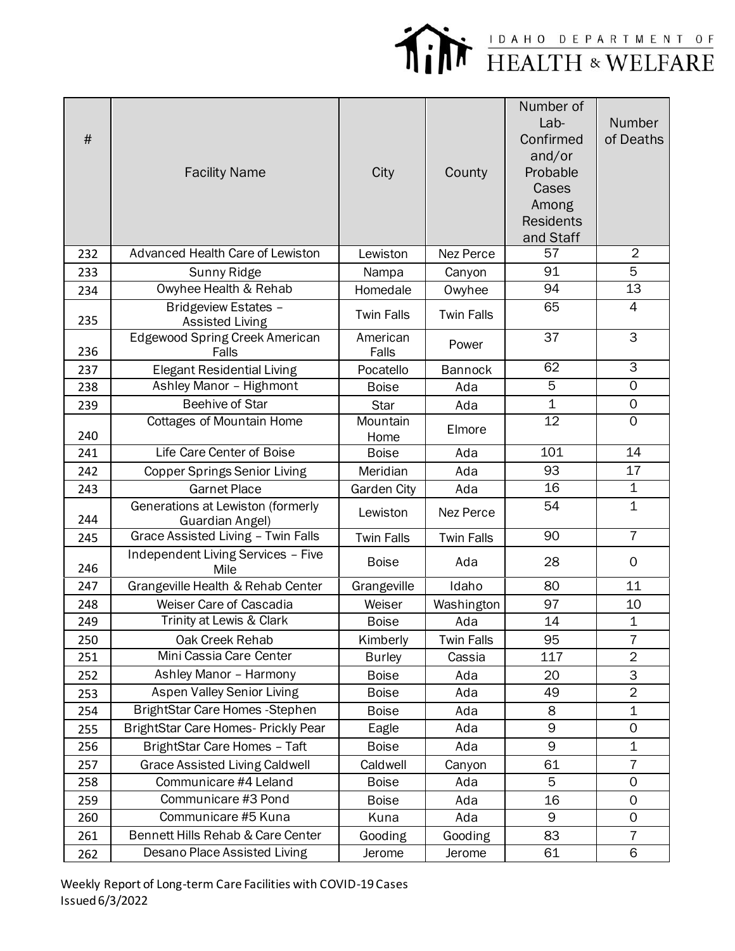

| #   | <b>Facility Name</b>                                  | City              | County            | Number of<br>Lab-<br>Confirmed<br>and/or<br>Probable<br>Cases<br>Among<br><b>Residents</b><br>and Staff | Number<br>of Deaths |
|-----|-------------------------------------------------------|-------------------|-------------------|---------------------------------------------------------------------------------------------------------|---------------------|
| 232 | <b>Advanced Health Care of Lewiston</b>               | Lewiston          | Nez Perce         | 57                                                                                                      | $\overline{2}$      |
| 233 | Sunny Ridge                                           | Nampa             | Canyon            | 91                                                                                                      | 5                   |
| 234 | Owyhee Health & Rehab                                 | Homedale          | Owyhee            | 94                                                                                                      | 13                  |
| 235 | <b>Bridgeview Estates -</b><br><b>Assisted Living</b> | <b>Twin Falls</b> | <b>Twin Falls</b> | 65                                                                                                      | 4                   |
| 236 | <b>Edgewood Spring Creek American</b><br>Falls        | American<br>Falls | Power             | 37                                                                                                      | 3                   |
| 237 | <b>Elegant Residential Living</b>                     | Pocatello         | <b>Bannock</b>    | 62                                                                                                      | $\overline{3}$      |
| 238 | Ashley Manor - Highmont                               | <b>Boise</b>      | Ada               | 5                                                                                                       | $\overline{O}$      |
| 239 | <b>Beehive of Star</b>                                | <b>Star</b>       | Ada               | $\mathbf 1$                                                                                             | 0                   |
| 240 | <b>Cottages of Mountain Home</b>                      | Mountain<br>Home  | Elmore            | $\overline{12}$                                                                                         | $\Omega$            |
| 241 | Life Care Center of Boise                             | <b>Boise</b>      | Ada               | 101                                                                                                     | 14                  |
| 242 | <b>Copper Springs Senior Living</b>                   | Meridian          | Ada               | 93                                                                                                      | 17                  |
| 243 | <b>Garnet Place</b>                                   | Garden City       | Ada               | 16                                                                                                      | $\mathbf 1$         |
| 244 | Generations at Lewiston (formerly<br>Guardian Angel)  | Lewiston          | Nez Perce         | 54                                                                                                      | $\mathbf 1$         |
| 245 | Grace Assisted Living - Twin Falls                    | <b>Twin Falls</b> | <b>Twin Falls</b> | 90                                                                                                      | $\overline{7}$      |
| 246 | Independent Living Services - Five<br>Mile            | <b>Boise</b>      | Ada               | 28                                                                                                      | $\mathbf 0$         |
| 247 | Grangeville Health & Rehab Center                     | Grangeville       | Idaho             | 80                                                                                                      | 11                  |
| 248 | Weiser Care of Cascadia                               | Weiser            | Washington        | 97                                                                                                      | 10                  |
| 249 | Trinity at Lewis & Clark                              | <b>Boise</b>      | Ada               | 14                                                                                                      | $\mathbf 1$         |
| 250 | Oak Creek Rehab                                       | Kimberly          | <b>Twin Falls</b> | 95                                                                                                      | 7                   |
| 251 | Mini Cassia Care Center                               | <b>Burley</b>     | Cassia            | 117                                                                                                     | $\overline{2}$      |
| 252 | Ashley Manor - Harmony                                | <b>Boise</b>      | Ada               | 20                                                                                                      | 3                   |
| 253 | Aspen Valley Senior Living                            | <b>Boise</b>      | Ada               | 49                                                                                                      | $\overline{2}$      |
| 254 | BrightStar Care Homes - Stephen                       | <b>Boise</b>      | Ada               | 8                                                                                                       | $\mathbf 1$         |
| 255 | BrightStar Care Homes- Prickly Pear                   | Eagle             | Ada               | 9                                                                                                       | 0                   |
| 256 | BrightStar Care Homes - Taft                          | <b>Boise</b>      | Ada               | 9                                                                                                       | $\mathbf 1$         |
| 257 | <b>Grace Assisted Living Caldwell</b>                 | Caldwell          | Canyon            | 61                                                                                                      | $\overline{7}$      |
| 258 | Communicare #4 Leland                                 | <b>Boise</b>      | Ada               | 5                                                                                                       | $\mathbf 0$         |
| 259 | Communicare #3 Pond                                   | <b>Boise</b>      | Ada               | 16                                                                                                      | $\mathbf 0$         |
| 260 | Communicare #5 Kuna                                   | Kuna              | Ada               | 9                                                                                                       | $\mathbf 0$         |
| 261 | Bennett Hills Rehab & Care Center                     | Gooding           | Gooding           | 83                                                                                                      | $\overline{I}$      |
| 262 | Desano Place Assisted Living                          | Jerome            | Jerome            | 61                                                                                                      | 6                   |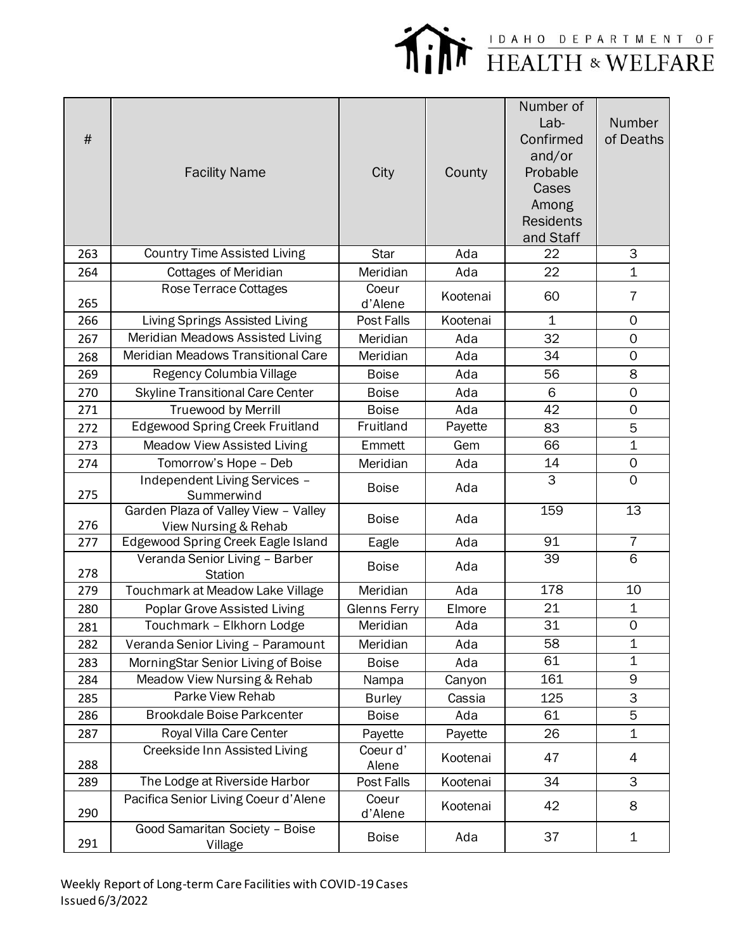

| #   | <b>Facility Name</b>                                         | City                | County   | Number of<br>$Lab-$<br>Confirmed<br>and/or<br>Probable<br>Cases<br>Among<br><b>Residents</b><br>and Staff | Number<br>of Deaths |
|-----|--------------------------------------------------------------|---------------------|----------|-----------------------------------------------------------------------------------------------------------|---------------------|
| 263 | <b>Country Time Assisted Living</b>                          | <b>Star</b>         | Ada      | 22                                                                                                        | 3                   |
| 264 | <b>Cottages of Meridian</b>                                  | Meridian            | Ada      | 22                                                                                                        | $\mathbf 1$         |
| 265 | Rose Terrace Cottages                                        | Coeur<br>d'Alene    | Kootenai | 60                                                                                                        | $\overline{7}$      |
| 266 | Living Springs Assisted Living                               | Post Falls          | Kootenai | $\mathbf 1$                                                                                               | $\mathbf 0$         |
| 267 | Meridian Meadows Assisted Living                             | Meridian            | Ada      | 32                                                                                                        | $\mathsf{O}\xspace$ |
| 268 | Meridian Meadows Transitional Care                           | Meridian            | Ada      | 34                                                                                                        | $\mathbf 0$         |
| 269 | Regency Columbia Village                                     | <b>Boise</b>        | Ada      | 56                                                                                                        | 8                   |
| 270 | <b>Skyline Transitional Care Center</b>                      | <b>Boise</b>        | Ada      | 6                                                                                                         | $\mathbf 0$         |
| 271 | Truewood by Merrill                                          | <b>Boise</b>        | Ada      | 42                                                                                                        | 0                   |
| 272 | <b>Edgewood Spring Creek Fruitland</b>                       | Fruitland           | Payette  | 83                                                                                                        | 5                   |
| 273 | <b>Meadow View Assisted Living</b>                           | Emmett              | Gem      | 66                                                                                                        | 1                   |
| 274 | Tomorrow's Hope - Deb                                        | Meridian            | Ada      | 14                                                                                                        | 0                   |
| 275 | <b>Independent Living Services -</b><br>Summerwind           | <b>Boise</b>        | Ada      | $\overline{3}$                                                                                            | $\mathbf 0$         |
| 276 | Garden Plaza of Valley View - Valley<br>View Nursing & Rehab | <b>Boise</b>        | Ada      | 159                                                                                                       | 13                  |
| 277 | Edgewood Spring Creek Eagle Island                           | Eagle               | Ada      | 91                                                                                                        | $\overline{7}$      |
| 278 | Veranda Senior Living - Barber<br>Station                    | <b>Boise</b>        | Ada      | 39                                                                                                        | 6                   |
| 279 | Touchmark at Meadow Lake Village                             | Meridian            | Ada      | 178                                                                                                       | 10                  |
| 280 | <b>Poplar Grove Assisted Living</b>                          | <b>Glenns Ferry</b> | Elmore   | 21                                                                                                        | $\mathbf 1$         |
| 281 | Touchmark - Elkhorn Lodge                                    | Meridian            | Ada      | 31                                                                                                        | $\mathsf{O}$        |
| 282 | Veranda Senior Living - Paramount                            | Meridian            | Ada      | 58                                                                                                        | $\mathbf 1$         |
| 283 | MorningStar Senior Living of Boise                           | <b>Boise</b>        | Ada      | 61                                                                                                        | 1                   |
| 284 | Meadow View Nursing & Rehab                                  | Nampa               | Canyon   | 161                                                                                                       | 9                   |
| 285 | <b>Parke View Rehab</b>                                      | <b>Burley</b>       | Cassia   | 125                                                                                                       | 3                   |
| 286 | <b>Brookdale Boise Parkcenter</b>                            | <b>Boise</b>        | Ada      | 61                                                                                                        | 5                   |
| 287 | Royal Villa Care Center                                      | Payette             | Payette  | 26                                                                                                        | 1                   |
| 288 | Creekside Inn Assisted Living                                | Coeur d'<br>Alene   | Kootenai | 47                                                                                                        | 4                   |
| 289 | The Lodge at Riverside Harbor                                | Post Falls          | Kootenai | 34                                                                                                        | 3                   |
| 290 | Pacifica Senior Living Coeur d'Alene                         | Coeur<br>d'Alene    | Kootenai | 42                                                                                                        | 8                   |
| 291 | Good Samaritan Society - Boise<br>Village                    | <b>Boise</b>        | Ada      | 37                                                                                                        | 1                   |